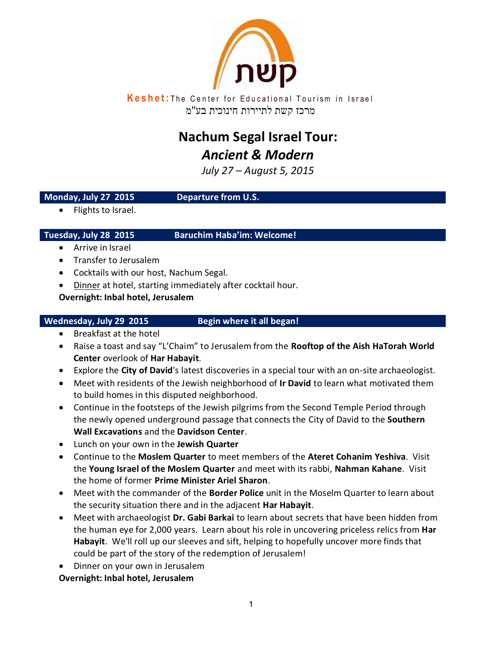

**Keshet:** The Center for Educational Tourism in Israel מרכז קשת לתיירות חינוכית בע"מ

# **Nachum Segal Israel Tour:** *Ancient & Modern*

*July 72 – August 5, 2015*

# **Monday, July 27 2015 Departure from U.S.**

• Flights to Israel.

**Tuesday, July 28 2015 Baruchim Haba'im: Welcome!**

- Arrive in Israel
- Transfer to Jerusalem
- Cocktails with our host, Nachum Segal.
- Dinner at hotel, starting immediately after cocktail hour.

# **Overnight: Inbal hotel, Jerusalem**

# Wednesday, July 29 2015 Begin where it all began!

- Breakfast at the hotel
- Raise a toast and say "L'Chaim" to Jerusalem from the **Rooftop of the Aish HaTorah World Center** overlook of **Har Habayit**.
- Explore the **City of David**'s latest discoveries in a special tour with an on-site archaeologist.
- Meet with residents of the Jewish neighborhood of **Ir David** to learn what motivated them to build homes in this disputed neighborhood.
- Continue in the footsteps of the Jewish pilgrims from the Second Temple Period through the newly opened underground passage that connects the City of David to the **Southern Wall Excavations** and the **Davidson Center**.
- Lunch on your own in the **Jewish Quarter**
- Continue to the **Moslem Quarter** to meet members of the **Ateret Cohanim Yeshiva**. Visit the **Young Israel of the Moslem Quarter** and meet with its rabbi, **Nahman Kahane**. Visit the home of former **Prime Minister Ariel Sharon**.
- Meet with the commander of the **Border Police** unit in the Moselm Quarter to learn about the security situation there and in the adjacent **Har Habayit**.
- Meet with archaeologist **Dr. Gabi Barkai** to learn about secrets that have been hidden from the human eye for 2,000 years. Learn about his role in uncovering priceless relics from **Har Habayit**. We'll roll up our sleeves and sift, helping to hopefully uncover more finds that could be part of the story of the redemption of Jerusalem!
- Dinner on your own in Jerusalem

**Overnight: Inbal hotel, Jerusalem**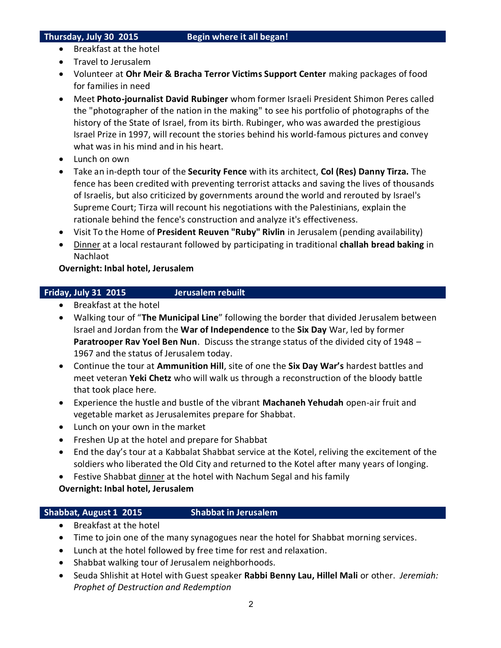- Breakfast at the hotel
- Travel to Jerusalem
- Volunteer at **Ohr Meir & Bracha Terror Victims Support Center** making packages of food for families in need
- Meet **Photo-journalist David Rubinger** whom former Israeli President Shimon Peres called the "photographer of the nation in the making" to see his portfolio of photographs of the history of the State of Israel, from its birth. Rubinger, who was awarded the prestigious Israel Prize in 1997, will recount the stories behind his world-famous pictures and convey what was in his mind and in his heart.
- Lunch on own
- Take an in-depth tour of the **Security Fence** with its architect, **Col (Res) Danny Tirza.** The fence has been credited with preventing terrorist attacks and saving the lives of thousands of Israelis, but also criticized by governments around the world and rerouted by Israel's Supreme Court; Tirza will recount his negotiations with the Palestinians, explain the rationale behind the fence's construction and analyze it's effectiveness.
- Visit To the Home of **President Reuven "Ruby" Rivlin** in Jerusalem (pending availability)
- Dinner at a local restaurant followed by participating in traditional **challah bread baking** in Nachlaot

# **Overnight: Inbal hotel, Jerusalem**

# **Friday, July 31 2015 Jerusalem rebuilt**

- Breakfast at the hotel
- Walking tour of "**The Municipal Line**" following the border that divided Jerusalem between Israel and Jordan from the **War of Independence** to the **Six Day** War, led by former **Paratrooper Rav Yoel Ben Nun**. Discuss the strange status of the divided city of 1948 – 1967 and the status of Jerusalem today.
- Continue the tour at **Ammunition Hill**, site of one the **Six Day War's** hardest battles and meet veteran **Yeki Chetz** who will walk us through a reconstruction of the bloody battle that took place here.
- Experience the hustle and bustle of the vibrant **Machaneh Yehudah** open-air fruit and vegetable market as Jerusalemites prepare for Shabbat.
- Lunch on your own in the market
- Freshen Up at the hotel and prepare for Shabbat
- End the day's tour at a Kabbalat Shabbat service at the Kotel, reliving the excitement of the soldiers who liberated the Old City and returned to the Kotel after many years of longing.
- Festive Shabbat dinner at the hotel with Nachum Segal and his family **Overnight: Inbal hotel, Jerusalem**

### **Shabbat, August 1 2015 Shabbat in Jerusalem**

- Breakfast at the hotel
- Time to join one of the many synagogues near the hotel for Shabbat morning services.
- Lunch at the hotel followed by free time for rest and relaxation.
- Shabbat walking tour of Jerusalem neighborhoods.
- Seuda Shlishit at Hotel with Guest speaker **Rabbi Benny Lau, Hillel Mali** or other. *Jeremiah: Prophet of Destruction and Redemption*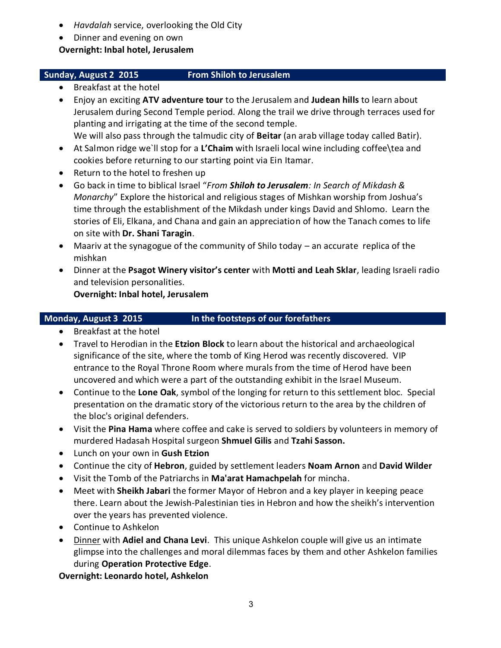- *Havdalah* service, overlooking the Old City
- Dinner and evening on own

**Overnight: Inbal hotel, Jerusalem**

# **Sunday, August 2 2015 From Shiloh to Jerusalem**

- Breakfast at the hotel
- Enjoy an exciting **ATV adventure tour** to the Jerusalem and **Judean hills** to learn about Jerusalem during Second Temple period. Along the trail we drive through terraces used for planting and irrigating at the time of the second temple. We will also pass through the talmudic city of **Beitar** (an arab village today called Batir).
- At Salmon ridge we`ll stop for a **L'Chaim** with Israeli local wine including coffee\tea and cookies before returning to our starting point via Ein Itamar.
- Return to the hotel to freshen up
- Go back in time to biblical Israel "*From Shiloh to Jerusalem: In Search of Mikdash & Monarchy*" Explore the historical and religious stages of Mishkan worship from Joshua's time through the establishment of the Mikdash under kings David and Shlomo. Learn the stories of Eli, Elkana, and Chana and gain an appreciation of how the Tanach comes to life on site with **Dr. Shani Taragin**.
- Maariv at the synagogue of the community of Shilo today an accurate replica of the mishkan
- Dinner at the **Psagot Winery visitor's center** with **Motti and Leah Sklar**, leading Israeli radio and television personalities.

**Overnight: Inbal hotel, Jerusalem**

# **Monday, August 3 2015 In the footsteps of our forefathers**

- Breakfast at the hotel
- Travel to Herodian in the **Etzion Block** to learn about the historical and archaeological significance of the site, where the tomb of King Herod was recently discovered. VIP entrance to the Royal Throne Room where murals from the time of Herod have been uncovered and which were a part of the outstanding exhibit in the Israel Museum.
- Continue to the **Lone Oak**, symbol of the longing for return to this settlement bloc. Special presentation on the dramatic story of the victorious return to the area by the children of the bloc's original defenders.
- Visit the **Pina Hama** where coffee and cake is served to soldiers by volunteers in memory of murdered Hadasah Hospital surgeon **Shmuel Gilis** and **Tzahi Sasson.**
- Lunch on your own in **Gush Etzion**
- Continue the city of **Hebron**, guided by settlement leaders **Noam Arnon** and **David Wilder**
- Visit the Tomb of the Patriarchs in **Ma'arat Hamachpelah** for mincha.
- Meet with **Sheikh Jabari** the former Mayor of Hebron and a key player in keeping peace there. Learn about the Jewish-Palestinian ties in Hebron and how the sheikh's intervention over the years has prevented violence.
- Continue to Ashkelon
- Dinner with **Adiel and Chana Levi**. This unique Ashkelon couple will give us an intimate glimpse into the challenges and moral dilemmas faces by them and other Ashkelon families during **Operation Protective Edge**.

**Overnight: Leonardo hotel, Ashkelon**